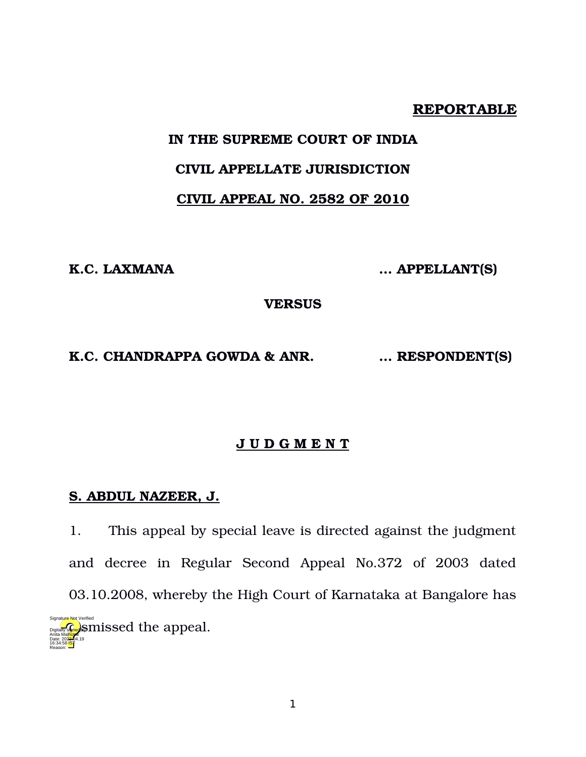## **REPORTABLE**

# **IN THE SUPREME COURT OF INDIA**

# **CIVIL APPELLATE JURISDICTION**

# **CIVIL APPEAL NO. 2582 OF 2010**

**K.C. LAXMANA … APPELLANT(S)** 

**VERSUS**

#### **K.C. CHANDRAPPA GOWDA & ANR. … RESPONDENT(S)**

# **J U D G M E N T**

#### **S. ABDUL NAZEER, J.**

16:34:58<sup>1S</sup> Reason:

1. This appeal by special leave is directed against the judgment and decree in Regular Second Appeal No.372 of 2003 dated 03.10.2008, whereby the High Court of Karnataka at Bangalore has **digitally solution** signal. Anita Mal<mark>hotr</mark>a Date: 2022.04.19 Signature Not Verified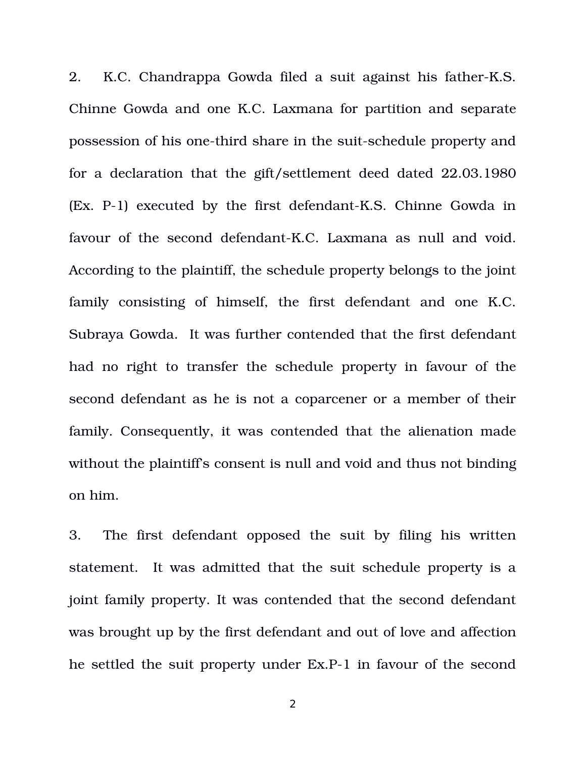2. K.C. Chandrappa Gowda filed a suit against his father-K.S. Chinne Gowda and one K.C. Laxmana for partition and separate possession of his one-third share in the suit-schedule property and for a declaration that the gift/settlement deed dated 22.03.1980  $(EX. P-1)$  executed by the first defendant-K.S. Chinne Gowda in favour of the second defendant-K.C. Laxmana as null and void. According to the plaintiff, the schedule property belongs to the joint family consisting of himself, the first defendant and one K.C. Subraya Gowda. It was further contended that the first defendant had no right to transfer the schedule property in favour of the second defendant as he is not a coparcener or a member of their family. Consequently, it was contended that the alienation made without the plaintiff's consent is null and void and thus not binding on him.

3. The first defendant opposed the suit by filing his written statement. It was admitted that the suit schedule property is a joint family property. It was contended that the second defendant was brought up by the first defendant and out of love and affection he settled the suit property under Ex.P-1 in favour of the second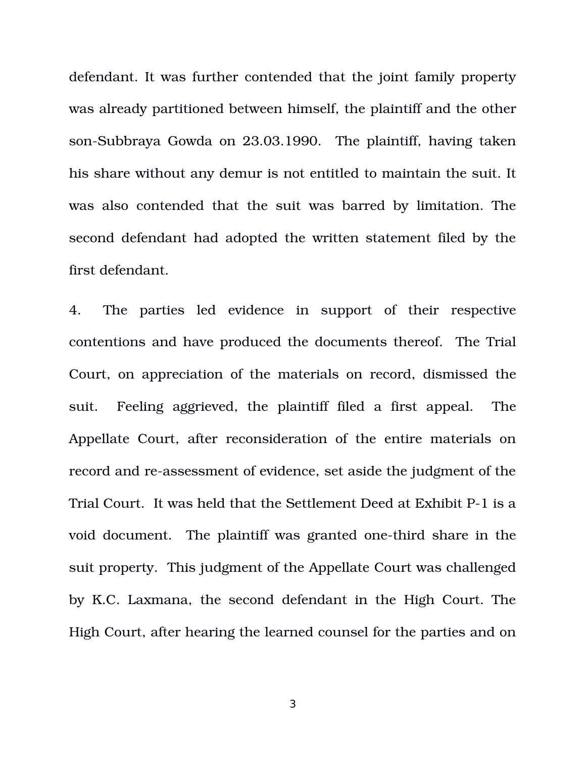defendant. It was further contended that the joint family property was already partitioned between himself, the plaintiff and the other son-Subbraya Gowda on 23.03.1990. The plaintiff, having taken his share without any demur is not entitled to maintain the suit. It was also contended that the suit was barred by limitation. The second defendant had adopted the written statement filed by the first defendant.

4. The parties led evidence in support of their respective contentions and have produced the documents thereof. The Trial Court, on appreciation of the materials on record, dismissed the suit. Feeling aggrieved, the plaintiff filed a first appeal. The Appellate Court, after reconsideration of the entire materials on record and re-assessment of evidence, set aside the judgment of the Trial Court. It was held that the Settlement Deed at Exhibit P-1 is a void document. The plaintiff was granted one-third share in the suit property. This judgment of the Appellate Court was challenged by K.C. Laxmana, the second defendant in the High Court. The High Court, after hearing the learned counsel for the parties and on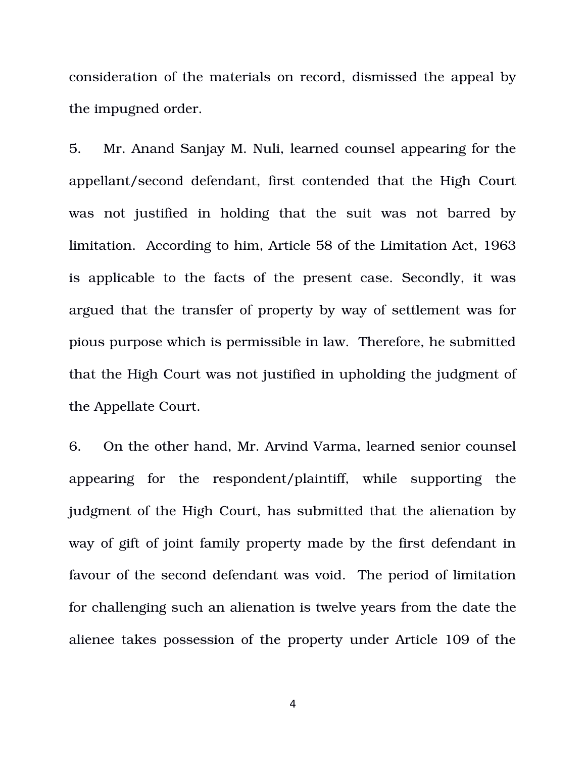consideration of the materials on record, dismissed the appeal by the impugned order.

5. Mr. Anand Sanjay M. Nuli, learned counsel appearing for the appellant/second defendant, first contended that the High Court was not justified in holding that the suit was not barred by limitation. According to him, Article 58 of the Limitation Act, 1963 is applicable to the facts of the present case. Secondly, it was argued that the transfer of property by way of settlement was for pious purpose which is permissible in law. Therefore, he submitted that the High Court was not justified in upholding the judgment of the Appellate Court.

6. On the other hand, Mr. Arvind Varma, learned senior counsel appearing for the respondent/plaintiff, while supporting the judgment of the High Court, has submitted that the alienation by way of gift of joint family property made by the first defendant in favour of the second defendant was void. The period of limitation for challenging such an alienation is twelve years from the date the alienee takes possession of the property under Article 109 of the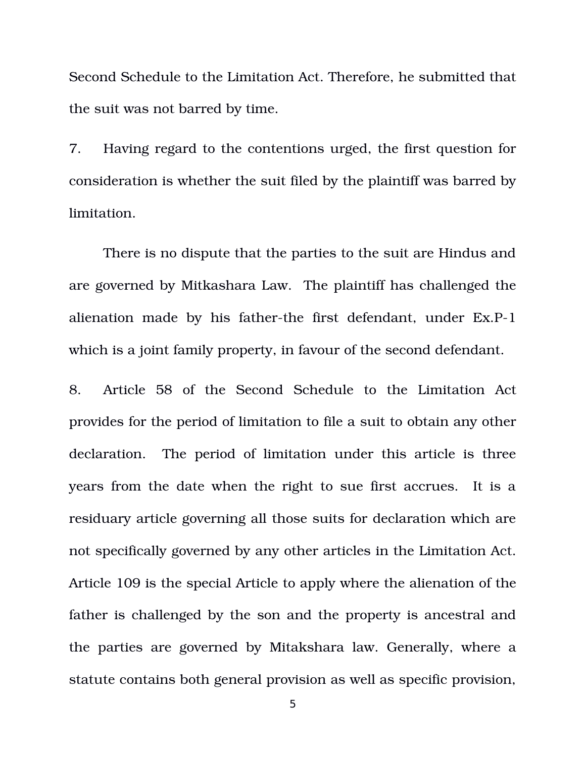Second Schedule to the Limitation Act. Therefore, he submitted that the suit was not barred by time.

7. Having regard to the contentions urged, the first question for consideration is whether the suit filed by the plaintiff was barred by limitation.

There is no dispute that the parties to the suit are Hindus and are governed by Mitkashara Law. The plaintiff has challenged the alienation made by his father-the first defendant, under  $Ex.P-1$ which is a joint family property, in favour of the second defendant.

8. Article 58 of the Second Schedule to the Limitation Act provides for the period of limitation to file a suit to obtain any other declaration. The period of limitation under this article is three years from the date when the right to sue first accrues. It is a residuary article governing all those suits for declaration which are not specifically governed by any other articles in the Limitation Act. Article 109 is the special Article to apply where the alienation of the father is challenged by the son and the property is ancestral and the parties are governed by Mitakshara law. Generally, where a statute contains both general provision as well as specific provision,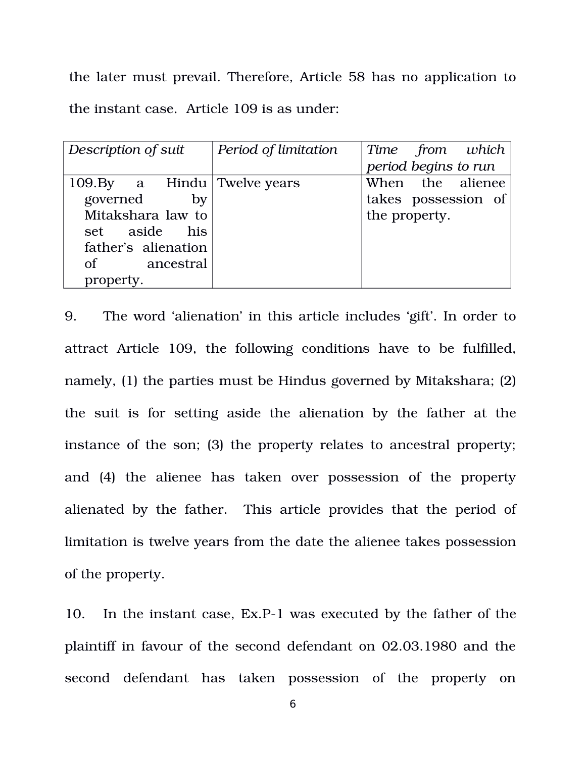the later must prevail. Therefore, Article 58 has no application to the instant case. Article 109 is as under:

| Description of suit         | Period of limitation | Time from which      |
|-----------------------------|----------------------|----------------------|
|                             |                      | period begins to run |
| 109.By a Hindu Twelve years |                      | When the alienee     |
| governed<br>by              |                      | takes possession of  |
| Mitakshara law to           |                      | the property.        |
| set aside his               |                      |                      |
| father's alienation         |                      |                      |
| of ancestral                |                      |                      |
| property.                   |                      |                      |
|                             |                      |                      |

9. The word 'alienation' in this article includes 'gift'. In order to attract Article 109, the following conditions have to be fulfilled, namely, (1) the parties must be Hindus governed by Mitakshara; (2) the suit is for setting aside the alienation by the father at the instance of the son; (3) the property relates to ancestral property; and (4) the alienee has taken over possession of the property alienated by the father. This article provides that the period of limitation is twelve years from the date the alienee takes possession of the property.

10. In the instant case, Ex.P-1 was executed by the father of the plaintiff in favour of the second defendant on 02.03.1980 and the second defendant has taken possession of the property on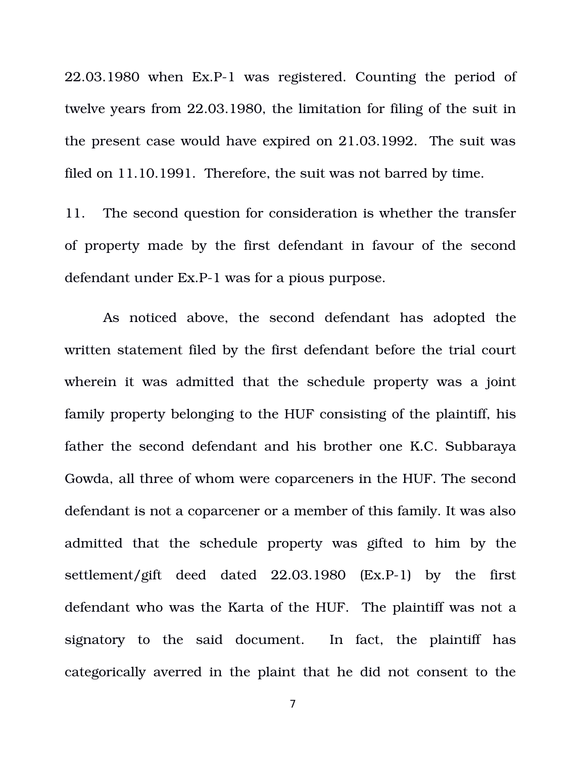$22.03.1980$  when Ex.P-1 was registered. Counting the period of twelve years from 22.03.1980, the limitation for filing of the suit in the present case would have expired on 21.03.1992. The suit was filed on 11.10.1991. Therefore, the suit was not barred by time.

11. The second question for consideration is whether the transfer of property made by the first defendant in favour of the second defendant under Ex.P-1 was for a pious purpose.

As noticed above, the second defendant has adopted the written statement filed by the first defendant before the trial court wherein it was admitted that the schedule property was a joint family property belonging to the HUF consisting of the plaintiff, his father the second defendant and his brother one K.C. Subbaraya Gowda, all three of whom were coparceners in the HUF. The second defendant is not a coparcener or a member of this family. It was also admitted that the schedule property was gifted to him by the settlement/gift deed dated  $22.03.1980$   $(EX.P-1)$  by the first defendant who was the Karta of the HUF. The plaintiff was not a signatory to the said document. In fact, the plaintiff has categorically averred in the plaint that he did not consent to the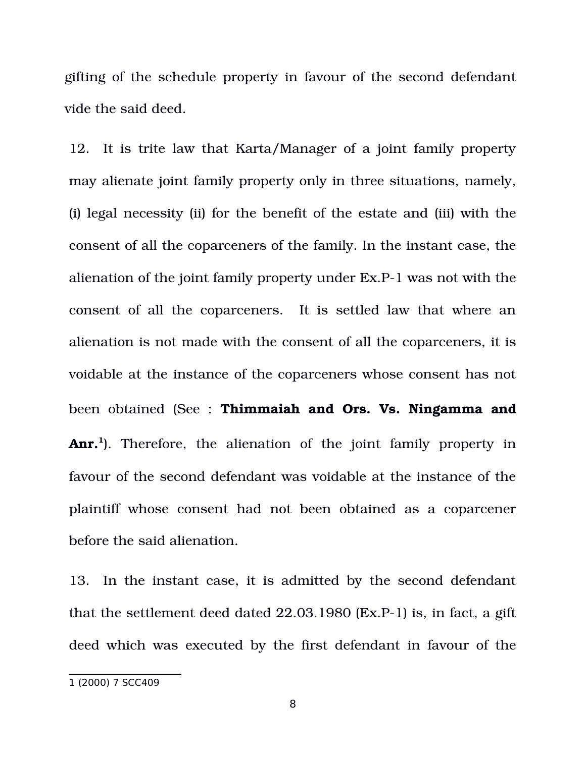gifting of the schedule property in favour of the second defendant vide the said deed.

12. It is trite law that Karta/Manager of a joint family property may alienate joint family property only in three situations, namely, (i) legal necessity (ii) for the benefit of the estate and (iii) with the consent of all the coparceners of the family. In the instant case, the alienation of the joint family property under Ex.P1 was not with the consent of all the coparceners. It is settled law that where an alienation is not made with the consent of all the coparceners, it is voidable at the instance of the coparceners whose consent has not been obtained (See : **Thimmaiah and Ors. Vs. Ningamma and Anr.**<sup>[1](#page-7-0)</sup>). Therefore, the alienation of the joint family property in favour of the second defendant was voidable at the instance of the plaintiff whose consent had not been obtained as a coparcener before the said alienation.

13. In the instant case, it is admitted by the second defendant that the settlement deed dated  $22.03.1980$  (Ex.P-1) is, in fact, a gift deed which was executed by the first defendant in favour of the

<span id="page-7-0"></span><sup>1 (2000) 7</sup> SCC409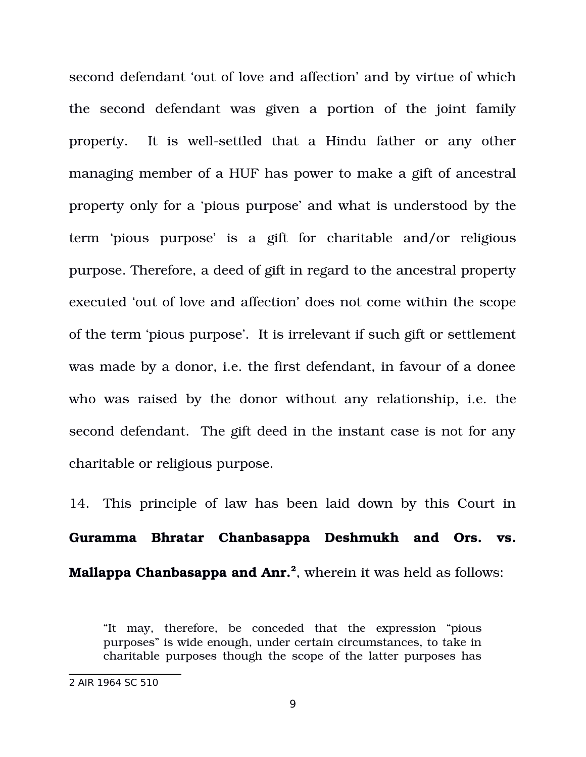second defendant 'out of love and affection' and by virtue of which the second defendant was given a portion of the joint family property. It is well-settled that a Hindu father or any other managing member of a HUF has power to make a gift of ancestral property only for a 'pious purpose' and what is understood by the term 'pious purpose' is a gift for charitable and/or religious purpose. Therefore, a deed of gift in regard to the ancestral property executed 'out of love and affection' does not come within the scope of the term 'pious purpose'. It is irrelevant if such gift or settlement was made by a donor, i.e. the first defendant, in favour of a donee who was raised by the donor without any relationship, i.e. the second defendant. The gift deed in the instant case is not for any charitable or religious purpose.

14. This principle of law has been laid down by this Court in **Guramma Bhratar Chanbasappa Deshmukh and Ors. vs. Mallappa Chanbasappa and Anr.[2](#page-8-0)** , wherein it was held as follows:

"It may, therefore, be conceded that the expression "pious purposes" is wide enough, under certain circumstances, to take in charitable purposes though the scope of the latter purposes has

<span id="page-8-0"></span><sup>2</sup> AIR 1964 SC 510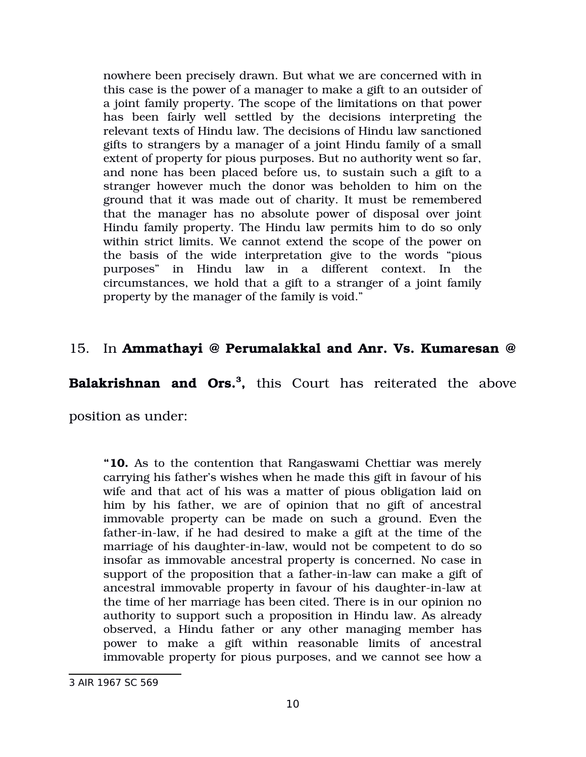nowhere been precisely drawn. But what we are concerned with in this case is the power of a manager to make a gift to an outsider of a joint family property. The scope of the limitations on that power has been fairly well settled by the decisions interpreting the relevant texts of Hindu law. The decisions of Hindu law sanctioned gifts to strangers by a manager of a joint Hindu family of a small extent of property for pious purposes. But no authority went so far, and none has been placed before us, to sustain such a gift to a stranger however much the donor was beholden to him on the ground that it was made out of charity. It must be remembered that the manager has no absolute power of disposal over joint Hindu family property. The Hindu law permits him to do so only within strict limits. We cannot extend the scope of the power on the basis of the wide interpretation give to the words "pious" purposes" in Hindu law in a different context. In the circumstances, we hold that a gift to a stranger of a joint family property by the manager of the family is void."

# 15. In **Ammathayi @ Perumalakkal and Anr. Vs. Kumaresan @**

**Balakrishnan and Ors.[3](#page-9-0) ,** this Court has reiterated the above

position as under:

**"10.** As to the contention that Rangaswami Chettiar was merely carrying his father's wishes when he made this gift in favour of his wife and that act of his was a matter of pious obligation laid on him by his father, we are of opinion that no gift of ancestral immovable property can be made on such a ground. Even the father-in-law, if he had desired to make a gift at the time of the marriage of his daughter-in-law, would not be competent to do so insofar as immovable ancestral property is concerned. No case in support of the proposition that a father-in-law can make a gift of ancestral immovable property in favour of his daughter-in-law at the time of her marriage has been cited. There is in our opinion no authority to support such a proposition in Hindu law. As already observed, a Hindu father or any other managing member has power to make a gift within reasonable limits of ancestral immovable property for pious purposes, and we cannot see how a

<span id="page-9-0"></span><sup>3</sup> AIR 1967 SC 569